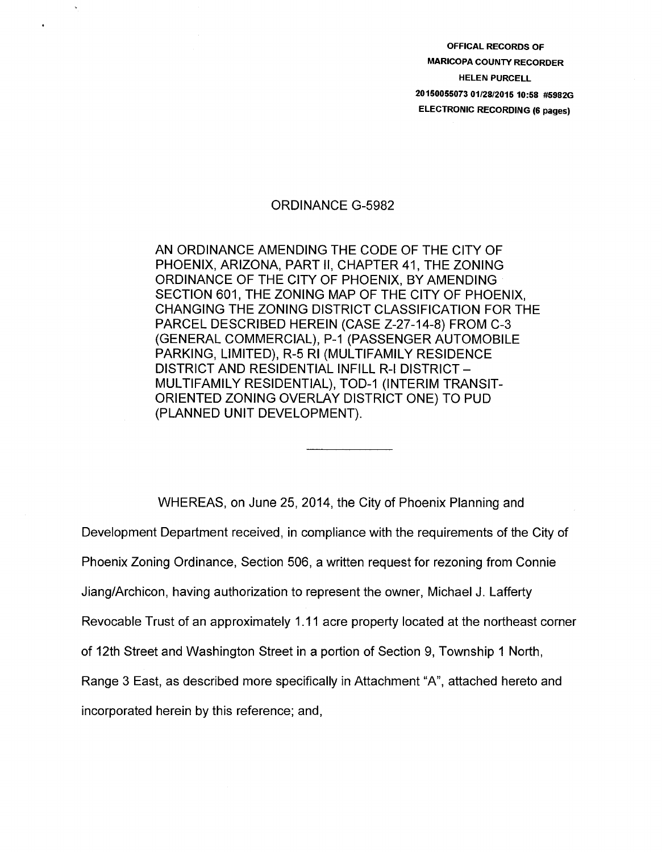OFFICAL RECORDS OF MARICOPA COUNTY RECORDER HELEN PURCELL 20150055073 01/28/2015 10:58 #5982G ELECTRONIC RECORDING (6 pages)

## ORDINANCE G-5982

AN ORDINANCE AMENDING THE CODE OF THE CITY OF PHOENIX, ARIZONA, PART II, CHAPTER 41, THE ZONING ORDINANCE OF THE CITY OF PHOENIX, BY AMENDING SECTION 601, THE ZONING MAP OF THE CITY OF PHOENIX, CHANGING THE ZONING DISTRICT CLASSIFICATION FOR THE PARCEL DESCRIBED HEREIN (CASE Z-27-14-8) FROM C-3 (GENERAL COMMERCIAL), P-1 (PASSENGER AUTOMOBILE PARKING, LIMITED), R-5 Rl (MULTIFAMILY RESIDENCE DISTRICT AND RESIDENTIAL INFILL R-1 DISTRICT-MULTIFAMILY RESIDENTIAL), TOD-1 (INTERIM TRANSIT-ORIENTED ZONING OVERLAY DISTRICT ONE) TO PUD (PLANNED UNIT DEVELOPMENT).

WHEREAS, on June 25, 2014, the City of Phoenix Planning and Development Department received, in compliance with the requirements of the City of Phoenix Zoning Ordinance, Section 506, a written request for rezoning from Connie Jiang/Archicon, having authorization to represent the owner, Michael J. Lafferty Revocable Trust of an approximately 1.11 acre property located at the northeast corner of 12th Street and Washington Street in a portion of Section 9, Township 1 North, Range 3 East, as described more specifically in Attachment "A", attached hereto and incorporated herein by this reference; and,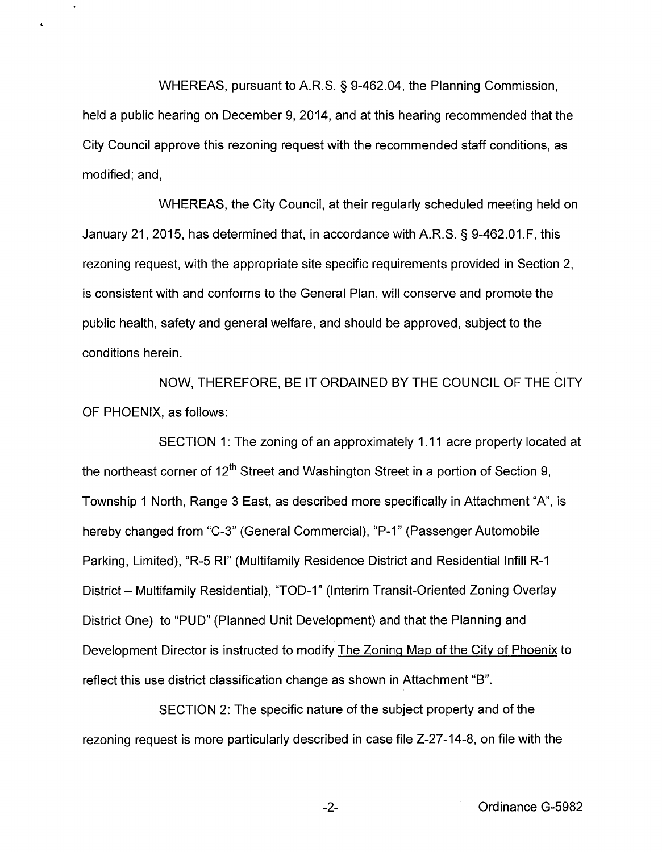WHEREAS, pursuant to A.R.S. § 9-462.04, the Planning Commission, held a public hearing on December 9, 2014, and at this hearing recommended that the City Council approve this rezoning request with the recommended staff conditions, as modified; and,

 $\ddot{\phantom{1}}$ 

WHEREAS, the City Council, at their regularly scheduled meeting held on January 21, 2015, has determined that, in accordance with A.R.S. § 9-462.01.F, this rezoning request, with the appropriate site specific requirements provided in Section 2, is consistent with and conforms to the General Plan, will conserve and promote the public health, safety and general welfare, and should be approved, subject to the conditions herein.

NOW, THEREFORE, BE IT ORDAINED BY THE COUNCIL OF THE CITY OF PHOENIX, as follows:

SECTION 1: The zoning of an approximately 1.11 acre property located at the northeast corner of  $12<sup>th</sup>$  Street and Washington Street in a portion of Section 9, Township 1 North, Range 3 East, as described more specifically in Attachment "A", is hereby changed from "C-3" (General Commercial), "P-1" (Passenger Automobile Parking, Limited), "R-5 RI" (Multifamily Residence District and Residential Infill R-1 District - Multifamily Residential), "TOD-1" (Interim Transit-Oriented Zoning Overlay District One) to "PUD" (Planned Unit Development) and that the Planning and Development Director is instructed to modify The Zoning Map of the City of Phoenix to reflect this use district classification change as shown in Attachment "B".

SECTION 2: The specific nature of the subject property and of the rezoning request is more particularly described in case file Z-27-14-8, on file with the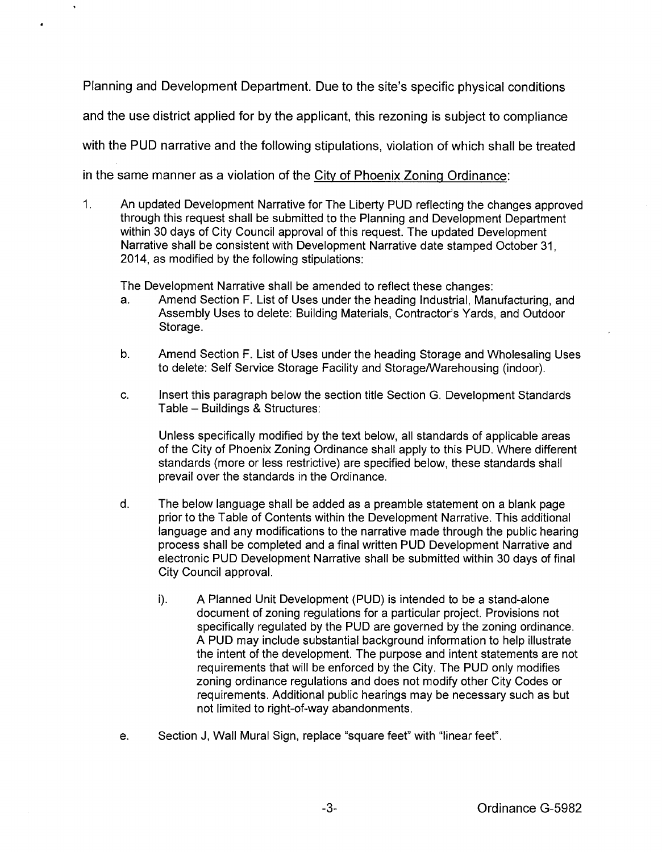Planning and Development Department. Due to the site's specific physical conditions and the use district applied for by the applicant, this rezoning is subject to compliance with the PUD narrative and the following stipulations, violation of which shall be treated in the same manner as a violation of the City of Phoenix Zoning Ordinance:

1. An updated Development Narrative for The Liberty PUD reflecting the changes approved through this request shall be submitted to the Planning and Development Department within 30 days of City Council approval of this request. The updated Development Narrative shall be consistent with Development Narrative date stamped October 31, 2014, as modified by the following stipulations:

The Development Narrative shall be amended to reflect these changes:

- a. Amend Section F. List of Uses under the heading Industrial, Manufacturing, and Assembly Uses to delete: Building Materials, Contractor's Yards, and Outdoor Storage.
- b. Amend Section F. List of Uses under the heading Storage and Wholesaling Uses to delete: Self Service Storage Facility and Storage/Warehousing (indoor).
- c. Insert this paragraph below the section title Section G. Development Standards Table- Buildings & Structures:

Unless specifically modified by the text below, all standards of applicable areas of the City of Phoenix Zoning Ordinance shall apply to this PUD. Where different standards (more or less restrictive) are specified below, these standards shall prevail over the standards in the Ordinance.

- d. The below language shall be added as a preamble statement on a blank page prior to the Table of Contents within the Development Narrative. This additional language and any modifications to the narrative made through the public hearing process shall be completed and a final written PUD Development Narrative and electronic PUD Development Narrative shall be submitted within 30 days of final City Council approval.
	- i). A Planned Unit Development (PUD) is intended to be a stand-alone document of zoning regulations for a particular project. Provisions not specifically regulated by the PUD are governed by the zoning ordinance. A PUD may include substantial background information to help illustrate the intent of the development. The purpose and intent statements are not requirements that will be enforced by the City. The PUD only modifies zoning ordinance regulations and does not modify other City Codes or requirements. Additional public hearings may be necessary such as but not limited to right-of-way abandonments.
- e. Section J, Wall Mural Sign, replace "square feet" with "linear feet".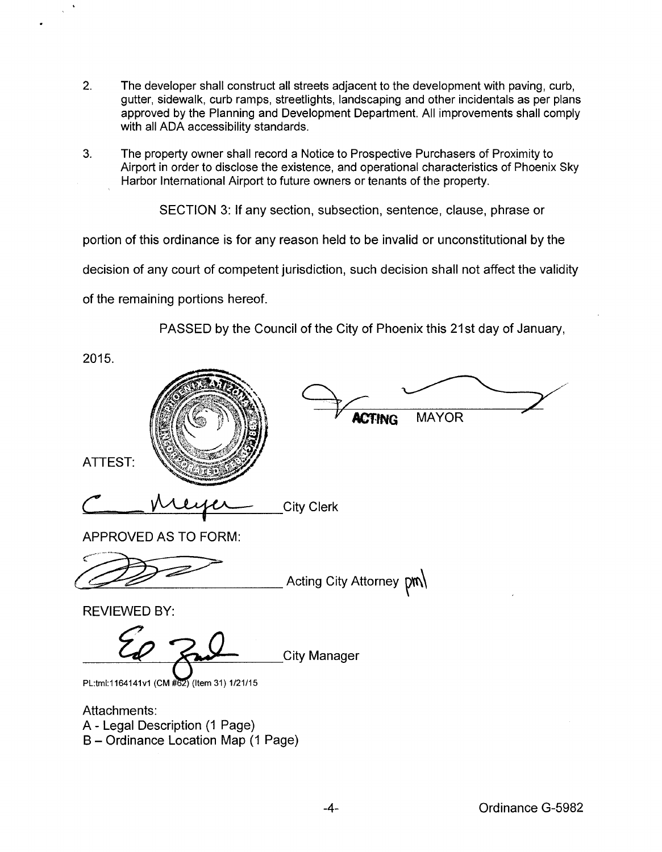- 2. The developer shall construct all streets adjacent to the development with paving, curb, gutter, sidewalk, curb ramps, streetlights, landscaping and other incidentals as per plans approved by the Planning and Development Department. All improvements shall comply with all ADA accessibility standards.
- 3. The property owner shall record a Notice to Prospective Purchasers of Proximity to Airport in order to disclose the existence, and operational characteristics of Phoenix Sky Harbor International Airport to future owners or tenants of the property.

SECTION 3: If any section, subsection, sentence, clause, phrase or

portion of this ordinance is for any reason held to be invalid or unconstitutional by the

decision of any court of competent jurisdiction, such decision shall not affect the validity

of the remaining portions hereof.

PASSED by the Council of the City of Phoenix this 21st day of January,

2015. **MAYOR ACTING** ATTEST: **City Clerk** APPROVED AS TO FORM: Acting City Attorney  $pm$ REVIEWED BY: **City Manager** PL:tml:1164141v1 (CM #62) (Item 31) 1/21/15 Attachments: A- Legal Description (1 Page) B- Ordinance Location Map (1 Page)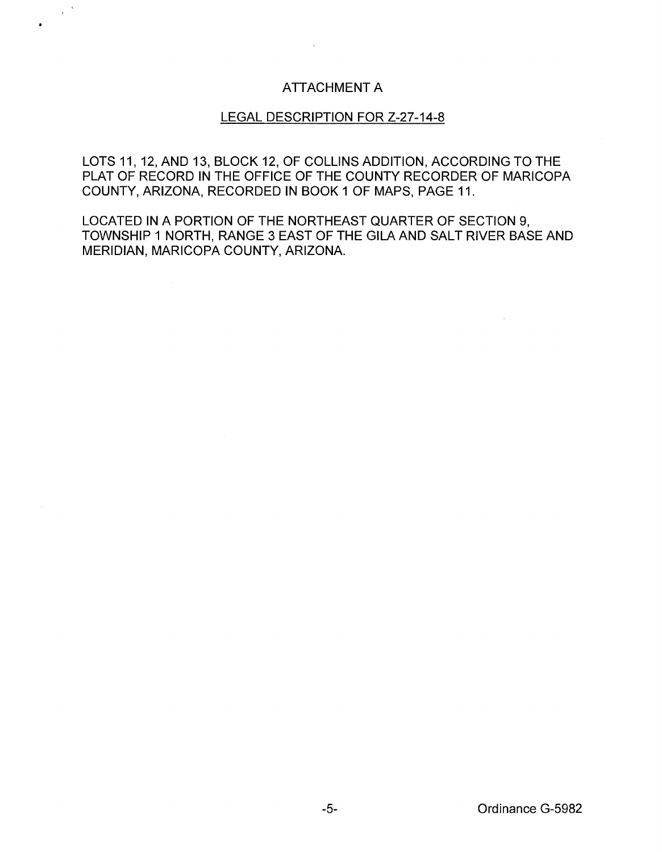## ATTACHMENT A

## LEGAL DESCRIPTION FOR Z-27-14-8

LOTS 11, 12, AND 13, BLOCK 12, OF COLLINS ADDITION, ACCORDING TO THE PLAT OF RECORD IN THE OFFICE OF THE COUNTY RECORDER OF MARICOPA COUNTY, ARIZONA, RECORDED IN BOOK 1 OF MAPS, PAGE 11.

LOCATED IN A PORTION OF THE NORTHEAST QUARTER OF SECTION 9, TOWNSHIP 1 NORTH, RANGE 3 EAST OF THE GILA AND SALT RIVER BASE AND MERIDIAN, MARICOPA COUNTY, ARIZONA.